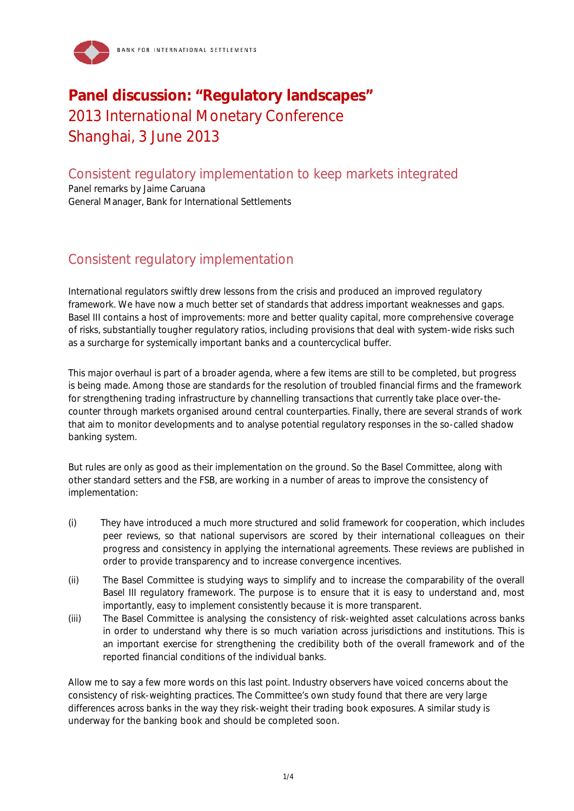

## **Panel discussion: "Regulatory landscapes"**  2013 International Monetary Conference Shanghai, 3 June 2013

Consistent regulatory implementation to keep markets integrated

Panel remarks by Jaime Caruana General Manager, Bank for International Settlements

## Consistent regulatory implementation

International regulators swiftly drew lessons from the crisis and produced an improved regulatory framework. We have now a much better set of standards that address important weaknesses and gaps. Basel III contains a host of improvements: more and better quality capital, more comprehensive coverage of risks, substantially tougher regulatory ratios, including provisions that deal with system-wide risks such as a surcharge for systemically important banks and a countercyclical buffer.

This major overhaul is part of a broader agenda, where a few items are still to be completed, but progress is being made. Among those are standards for the resolution of troubled financial firms and the framework for strengthening trading infrastructure by channelling transactions that currently take place over-thecounter through markets organised around central counterparties. Finally, there are several strands of work that aim to monitor developments and to analyse potential regulatory responses in the so-called shadow banking system.

But rules are only as good as their implementation on the ground. So the Basel Committee, along with other standard setters and the FSB, are working in a number of areas to improve the consistency of implementation:

- (i) They have introduced a much more structured and solid framework for cooperation, which includes peer reviews, so that national supervisors are scored by their international colleagues on their progress and consistency in applying the international agreements. These reviews are published in order to provide transparency and to increase convergence incentives.
- (ii) The Basel Committee is studying ways to simplify and to increase the comparability of the overall Basel III regulatory framework. The purpose is to ensure that it is easy to understand and, most importantly, easy to implement consistently because it is more transparent.
- (iii) The Basel Committee is analysing the consistency of risk-weighted asset calculations across banks in order to understand why there is so much variation across jurisdictions and institutions. This is an important exercise for strengthening the credibility both of the overall framework and of the reported financial conditions of the individual banks.

Allow me to say a few more words on this last point. Industry observers have voiced concerns about the consistency of risk-weighting practices. The Committee's own study found that there are very large differences across banks in the way they risk-weight their trading book exposures. A similar study is underway for the banking book and should be completed soon.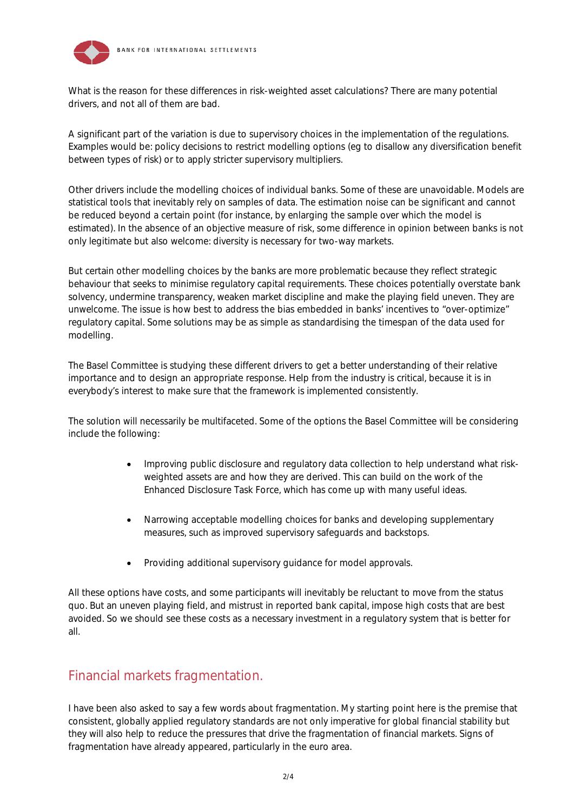



What is the reason for these differences in risk-weighted asset calculations? There are many potential drivers, and not all of them are bad.

A significant part of the variation is due to supervisory choices in the implementation of the regulations. Examples would be: policy decisions to restrict modelling options (eg to disallow any diversification benefit between types of risk) or to apply stricter supervisory multipliers.

Other drivers include the modelling choices of individual banks. Some of these are unavoidable. Models are statistical tools that inevitably rely on samples of data. The estimation noise can be significant and cannot be reduced beyond a certain point (for instance, by enlarging the sample over which the model is estimated). In the absence of an objective measure of risk, some difference in opinion between banks is not only legitimate but also welcome: diversity is necessary for two-way markets.

But certain other modelling choices by the banks are more problematic because they reflect strategic behaviour that seeks to minimise regulatory capital requirements. These choices potentially overstate bank solvency, undermine transparency, weaken market discipline and make the playing field uneven. They are unwelcome. The issue is how best to address the bias embedded in banks' incentives to "over-optimize" regulatory capital. Some solutions may be as simple as standardising the timespan of the data used for modelling.

The Basel Committee is studying these different drivers to get a better understanding of their relative importance and to design an appropriate response. Help from the industry is critical, because it is in everybody's interest to make sure that the framework is implemented consistently.

The solution will necessarily be multifaceted. Some of the options the Basel Committee will be considering include the following:

- Improving public disclosure and regulatory data collection to help understand what riskweighted assets are and how they are derived. This can build on the work of the Enhanced Disclosure Task Force, which has come up with many useful ideas.
- Narrowing acceptable modelling choices for banks and developing supplementary measures, such as improved supervisory safeguards and backstops.
- Providing additional supervisory guidance for model approvals.

All these options have costs, and some participants will inevitably be reluctant to move from the status quo. But an uneven playing field, and mistrust in reported bank capital, impose high costs that are best avoided. So we should see these costs as a necessary investment in a regulatory system that is better for all.

## Financial markets fragmentation.

I have been also asked to say a few words about fragmentation. My starting point here is the premise that consistent, globally applied regulatory standards are not only imperative for global financial stability but they will also help to reduce the pressures that drive the fragmentation of financial markets. Signs of fragmentation have already appeared, particularly in the euro area.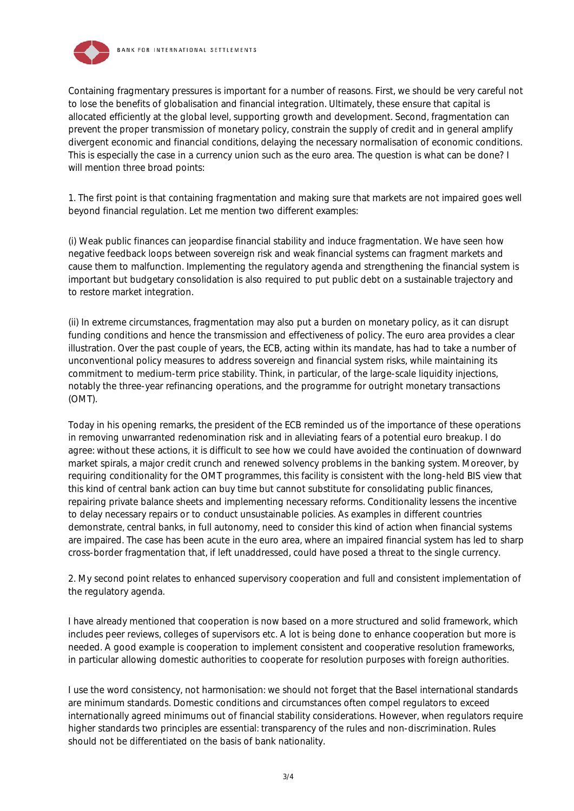



Containing fragmentary pressures is important for a number of reasons. First, we should be very careful not to lose the benefits of globalisation and financial integration. Ultimately, these ensure that capital is allocated efficiently at the global level, supporting growth and development. Second, fragmentation can prevent the proper transmission of monetary policy, constrain the supply of credit and in general amplify divergent economic and financial conditions, delaying the necessary normalisation of economic conditions. This is especially the case in a currency union such as the euro area. The question is what can be done? I will mention three broad points:

1. The first point is that containing fragmentation and making sure that markets are not impaired goes well beyond financial regulation. Let me mention two different examples:

(i) Weak public finances can jeopardise financial stability and induce fragmentation. We have seen how negative feedback loops between sovereign risk and weak financial systems can fragment markets and cause them to malfunction. Implementing the regulatory agenda and strengthening the financial system is important but budgetary consolidation is also required to put public debt on a sustainable trajectory and to restore market integration.

(ii) In extreme circumstances, fragmentation may also put a burden on monetary policy, as it can disrupt funding conditions and hence the transmission and effectiveness of policy. The euro area provides a clear illustration. Over the past couple of years, the ECB, acting within its mandate, has had to take a number of unconventional policy measures to address sovereign and financial system risks, while maintaining its commitment to medium-term price stability. Think, in particular, of the large-scale liquidity injections, notably the three-year refinancing operations, and the programme for outright monetary transactions (OMT).

Today in his opening remarks, the president of the ECB reminded us of the importance of these operations in removing unwarranted redenomination risk and in alleviating fears of a potential euro breakup. I do agree: without these actions, it is difficult to see how we could have avoided the continuation of downward market spirals, a major credit crunch and renewed solvency problems in the banking system. Moreover, by requiring conditionality for the OMT programmes, this facility is consistent with the long-held BIS view that this kind of central bank action can buy time but cannot substitute for consolidating public finances, repairing private balance sheets and implementing necessary reforms. Conditionality lessens the incentive to delay necessary repairs or to conduct unsustainable policies. As examples in different countries demonstrate, central banks, in full autonomy, need to consider this kind of action when financial systems are impaired. The case has been acute in the euro area, where an impaired financial system has led to sharp cross-border fragmentation that, if left unaddressed, could have posed a threat to the single currency.

2. My second point relates to enhanced supervisory cooperation and full and consistent implementation of the regulatory agenda.

I have already mentioned that cooperation is now based on a more structured and solid framework, which includes peer reviews, colleges of supervisors etc. A lot is being done to enhance cooperation but more is needed. A good example is cooperation to implement consistent and cooperative resolution frameworks, in particular allowing domestic authorities to cooperate for resolution purposes with foreign authorities.

I use the word consistency, not harmonisation: we should not forget that the Basel international standards are minimum standards. Domestic conditions and circumstances often compel regulators to exceed internationally agreed minimums out of financial stability considerations. However, when regulators require higher standards two principles are essential: transparency of the rules and non-discrimination. Rules should not be differentiated on the basis of bank nationality.